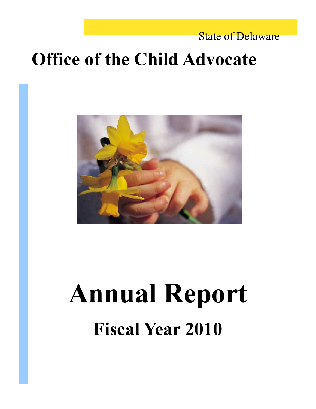### State of Delaware

### **Office of the Child Advocate**



# **Annual Report Fiscal Year 2010**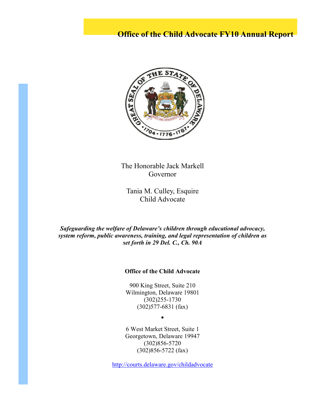#### **Office of the Child Advocate FY10 Annual Report**



The Honorable Jack Markell Governor

Tania M. Culley, Esquire Child Advocate

*Safeguarding the welfare of Delaware's children through educational advocacy, system reform, public awareness, training, and legal representation of children as set forth in 29 Del. C., Ch. 90A* 

#### **Office of the Child Advocate**

900 King Street, Suite 210 Wilmington, Delaware 19801 (302)255-1730 (302)577-6831 (fax)

 $\bullet$ 

6 West Market Street, Suite 1 Georgetown, Delaware 19947 (302)856-5720 (302)856-5722 (fax)

http://courts.delaware.gov/childadvocate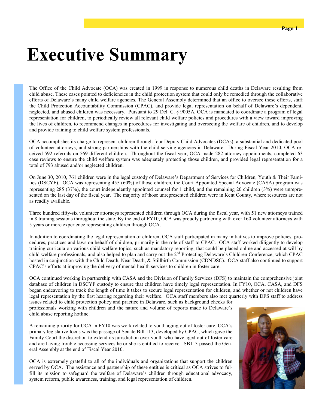## **Executive Summary**

The Office of the Child Advocate (OCA) was created in 1999 in response to numerous child deaths in Delaware resulting from child abuse. These cases pointed to deficiencies in the child protection system that could only be remedied through the collaborative efforts of Delaware's many child welfare agencies. The General Assembly determined that an office to oversee these efforts, staff the Child Protection Accountability Commission (CPAC), and provide legal representation on behalf of Delaware's dependent, neglected, and abused children was necessary. Pursuant to 29 Del. C. § 9005A, OCA is mandated to coordinate a program of legal representation for children, to periodically review all relevant child welfare policies and procedures with a view toward improving the lives of children, to recommend changes in procedures for investigating and overseeing the welfare of children, and to develop and provide training to child welfare system professionals.

OCA accomplishes its charge to represent children through four Deputy Child Advocates (DCAs), a substantial and dedicated pool of volunteer attorneys, and strong partnerships with the child-serving agencies in Delaware. During Fiscal Year 2010, OCA received 592 referrals on 569 different children. Throughout the fiscal year, OCA made 282 attorney appointments, completed 63 case reviews to ensure the child welfare system was adequately protecting those children, and provided legal representation for a total of 793 abused and/or neglected children.

On June 30, 2010, 761 children were in the legal custody of Delaware's Department of Services for Children, Youth & Their Families (DSCYF). OCA was representing 455 (60%) of those children, the Court Appointed Special Advocate (CASA) program was representing 285 (37%), the court independently appointed counsel for 1 child, and the remaining 20 children (3%) were unrepresented on the last day of the fiscal year. The majority of those unrepresented children were in Kent County, where resources are not as readily available.

Three hundred fifty-six volunteer attorneys represented children through OCA during the fiscal year, with 51 new attorneys trained in 8 training sessions throughout the state. By the end of FY10, OCA was proudly partnering with over 160 volunteer attorneys with 5 years or more experience representing children through OCA.

In addition to coordinating the legal representation of children, OCA staff participated in many initiatives to improve policies, procedures, practices and laws on behalf of children, primarily in the role of staff to CPAC. OCA staff worked diligently to develop training curricula on various child welfare topics, such as mandatory reporting, that could be placed online and accessed at will by child welfare professionals, and also helped to plan and carry out the  $2<sup>nd</sup>$  Protecting Delaware's Children Conference, which CPAC hosted in conjunction with the Child Death, Near Death, & Stillbirth Commission (CDNDSC). OCA staff also continued to support CPAC's efforts at improving the delivery of mental health services to children in foster care.

OCA continued working in partnership with CASA and the Division of Family Services (DFS) to maintain the comprehensive joint database of children in DSCYF custody to ensure that children have timely legal representation. In FY10, OCA, CASA, and DFS began endeavoring to track the length of time it takes to secure legal representation for children, and whether or not children have legal representation by the first hearing regarding their welfare. OCA staff members also met quarterly with DFS staff to address issues related to child protection policy and practice in Delaware, such as background checks for

professionals working with children and the nature and volume of reports made to Delaware's child abuse reporting hotline.

A remaining priority for OCA in FY10 was work related to youth aging out of foster care. OCA's primary legislative focus was the passage of Senate Bill 113, developed by CPAC, which gave the Family Court the discretion to extend its jurisdiction over youth who have aged out of foster care and are having trouble accessing services he or she is entitled to receive. SB113 passed the General Assembly at the end of Fiscal Year 2010.

OCA is extremely grateful to all of the individuals and organizations that support the children served by OCA. The assistance and partnership of these entities is critical as OCA strives to fulfill its mission to safeguard the welfare of Delaware's children through educational advocacy, system reform, public awareness, training, and legal representation of children.

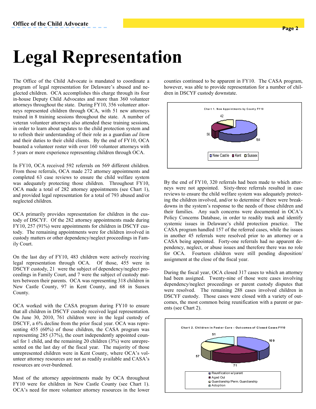### **Legal Representation**

The Office of the Child Advocate is mandated to coordinate a program of legal representation for Delaware's abused and neglected children. OCA accomplishes this charge through its four in-house Deputy Child Advocates and more than 360 volunteer attorneys throughout the state. During FY10, 356 volunteer attorneys represented children through OCA, with 51 new attorneys trained in 8 training sessions throughout the state. A number of veteran volunteer attorneys also attended these training sessions, in order to learn about updates to the child protection system and to refresh their understanding of their role as a guardian *ad litem* and their duties to their child clients. By the end of FY10, OCA boasted a volunteer roster with over 160 volunteer attorneys with 5 years or more experience representing children through OCA.

In FY10, OCA received 592 referrals on 569 different children. From those referrals, OCA made 272 attorney appointments and completed 63 case reviews to ensure the child welfare system was adequately protecting those children. Throughout FY10, OCA made a total of 282 attorney appointments (see Chart 1), and provided legal representation for a total of 793 abused and/or neglected children.

OCA primarily provides representation for children in the custody of DSCYF. Of the 282 attorney appointments made during FY10, 257 (91%) were appointments for children in DSCYF custody. The remaining appointments were for children involved in custody matters or other dependency/neglect proceedings in Family Court.

On the last day of FY10, 483 children were actively receiving legal representation through OCA. Of those, 455 were in DSCYF custody, 21 were the subject of dependency/neglect proceedings in Family Court, and 7 were the subject of custody matters between their parents. OCA was representing 318 children in New Castle County, 97 in Kent County, and 68 in Sussex County.

OCA worked with the CASA program during FY10 to ensure that all children in DSCYF custody received legal representation. On June 30, 2010, 761 children were in the legal custody of DSCYF, a 6% decline from the prior fiscal year. OCA was representing 455 (60%) of those children, the CASA program was representing 285 (37%), the court independently appointed counsel for 1 child, and the remaining 20 children (3%) were unrepresented on the last day of the fiscal year. The majority of those unrepresented children were in Kent County, where OCA's volunteer attorney resources are not as readily available and CASA's resources are over-burdened.

Most of the attorney appointments made by OCA throughout FY10 were for children in New Castle County (see Chart 1). OCA's need for more volunteer attorney resources in the lower

counties continued to be apparent in FY10. The CASA program, however, was able to provide representation for a number of children in DSCYF custody downstate.



By the end of FY10, 320 referrals had been made to which attorneys were not appointed. Sixty-three referrals resulted in case reviews to ensure the child welfare system was adequately protecting the children involved, and/or to determine if there were breakdowns in the system's response to the needs of those children and their families. Any such concerns were documented in OCA's Policy Concerns Database, in order to readily track and identify systemic issues in Delaware's child protection practice. The CASA program handled 157 of the referred cases, while the issues in another 45 referrals were resolved prior to an attorney or a CASA being appointed. Forty-one referrals had no apparent dependency, neglect, or abuse issues and therefore there was no role for OCA. Fourteen children were still pending disposition/ assignment at the close of the fiscal year.

During the fiscal year, OCA closed 317 cases to which an attorney had been assigned. Twenty-nine of those were cases involving dependency/neglect proceedings or parent custody disputes that were resolved. The remaining 288 cases involved children in DSCYF custody. Those cases were closed with a variety of outcomes, the most common being reunification with a parent or parents (see Chart 2).

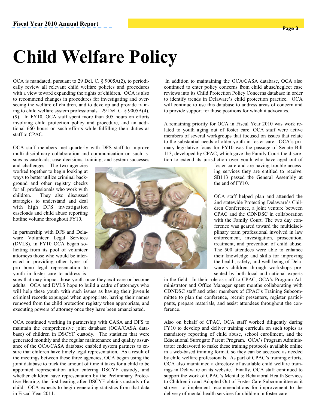# **Child Welfare Policy**

OCA is mandated, pursuant to 29 Del. C. § 9005A(2), to periodically review all relevant child welfare policies and procedures with a view toward expanding the rights of children. OCA is also to recommend changes in procedures for investigating and overseeing the welfare of children, and to develop and provide training to child welfare system professionals. 29 Del. C. § 9005A(4), (9). In FY10, OCA staff spent more than 305 hours on efforts involving child protection policy and procedure, and an additional 660 hours on such efforts while fulfilling their duties as staff to CPAC.

OCA staff members met quarterly with DFS staff to improve multi-disciplinary collaboration and communication on such issues as caseloads, case decisions, training, and system successes

and challenges. The two agencies worked together to begin looking at ways to better utilize criminal background and other registry checks for all professionals who work with children. They also discussed strategies to understand and deal with high DFS investigation caseloads and child abuse reporting hotline volume throughout FY10.

In partnership with DFS and Delaware Volunteer Legal Services (DVLS), in FY10 OCA began soliciting from its pool of volunteer attorneys those who would be interested in providing other types of pro bono legal representation to youth in foster care to address is-

sues that may impact those youth once they exit care or become adults. OCA and DVLS hope to build a cadre of attorneys who will help these youth with such issues as having their juvenile criminal records expunged when appropriate, having their names removed from the child protection registry when appropriate, and executing powers of attorney once they have been emancipated.

OCA continued working in partnership with CASA and DFS to maintain the comprehensive joint database (OCA/CASA database) of children in DSCYF custody. The statistics that were generated monthly and the regular maintenance and quality assurance of the OCA/CASA database enabled system partners to ensure that children have timely legal representation. As a result of the meetings between these three agencies, OCA began using the joint database to track the amount of time it takes for a child to be appointed representation after entering DSCYF custody, and whether children have representation by the Preliminary Protective Hearing, the first hearing after DSCYF obtains custody of a child. OCA expects to begin generating statistics from that data in Fiscal Year 2011.

 In addition to maintaining the OCA/CASA database, OCA also continued to enter policy concerns from child abuse/neglect case reviews into its Child Protection Policy Concerns database in order to identify trends in Delaware's child protection practice. OCA will continue to use this database to address areas of concern and to provide support for those positions for which it advocates.

A remaining priority for OCA in Fiscal Year 2010 was work related to youth aging out of foster care. OCA staff were active members of several workgroups that focused on issues that relate to the substantial needs of older youth in foster care. OCA's primary legislative focus for FY10 was the passage of Senate Bill 113, developed by CPAC, which gave the Family Court the discretion to extend its jurisdiction over youth who have aged out of

foster care and are having trouble accessing services they are entitled to receive. SB113 passed the General Assembly at the end of FY10.

OCA staff helped plan and attended the 2nd statewide Protecting Delaware's Children Conference, a joint venture between CPAC and the CDNDSC in collaboration with the Family Court. The two day conference was geared toward the multidisciplinary team professional involved in law enforcement, investigation, prosecution, treatment, and prevention of child abuse. The 500 attendees were able to enhance their knowledge and skills for improving the health, safety, and well-being of Delaware's children through workshops presented by both local and national experts

in the field. In their role as staff to CPAC, OCA's Program Administrator and Office Manager spent months collaborating with CDNDSC staff and other members of CPAC's Training Subcommittee to plan the conference, recruit presenters, register participants, prepare materials, and assist attendees throughout the conference.

Also on behalf of CPAC, OCA staff worked diligently during FY10 to develop and deliver training curricula on such topics as mandatory reporting of child abuse, school enrollment, and the Educational Surrogate Parent Program. OCA's Program Administrator endeavored to make these training protocols available online in a web-based training format, so they can be accessed as needed by child welfare professionals. As part of CPAC's training efforts, OCA also maintained a directory of available child welfare trainings in Delaware on its website. Finally, OCA staff continued to support the work of CPAC's Mental & Behavioral Health Services to Children in and Adopted Out of Foster Care Subcommittee as it strove to implement recommendations for improvement to the delivery of mental health services for children in foster care.

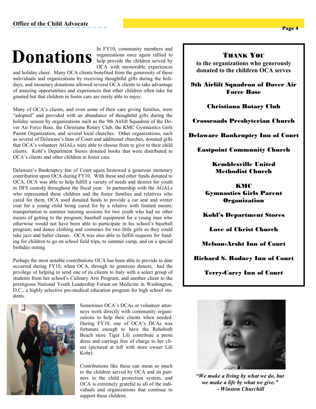#### **Office of the Child Advocate**

## help provide the children served by **Donations**

In FY10, community members and organizations once again rallied to OCA with memorable experiences

and holiday cheer. Many OCA clients benefited from the generosity of these individuals and organizations by receiving thoughtful gifts during the holidays, and monetary donations allowed several OCA clients to take advantage of amazing opportunities and experiences that other children often take for granted but that children in foster care are rarely able to enjoy.

Many of OCA's clients, and even some of their care giving families, were "adopted" and provided with an abundance of thoughtful gifts during the holiday season by organizations such as the 9th Airlift Squadron of the Dover Air Force Base, the Christiana Rotary Club, the KMC Gymnastics Girls Parent Organization, and several local churches. Other organizations, such as several of Delaware's Inns of Court and additional churches, donated gifts that OCA's volunteer AGALs were able to choose from to give to their child clients. Kohl's Department Stores donated books that were distributed to OCA's clients and other children in foster care.

Delaware's Bankruptcy Inn of Court again bestowed a generous monetary contribution upon OCA during FY10. With these and other funds donated to OCA, OCA was able to help fulfill a variety of needs and desires for youth in DFS custody throughout the fiscal year. In partnership with the AGALs who represented these children and the foster families and relatives who cared for them, OCA used donated funds to provide a car seat and winter coat for a young child being cared for by a relative with limited means; transportation to summer tutoring sessions for two youth who had no other means of getting to the program; baseball equipment for a young man who otherwise would not have been able to participate in his school's baseball program; and dance clothing and costumes for two little girls so they could take jazz and ballet classes. OCA was also able to fulfill requests for funding for children to go on school field trips, to summer camp, and on a special birthday outing.

Perhaps the most notable contributions OCA has been able to provide to date occurred during FY10, when OCA, through its generous donors, had the privilege of helping to send one of its clients to Italy with a select group of students from her school's Culinary Arts Program, and another client to the prestigious National Youth Leadership Forum on Medicine in Washington, D.C., a highly selective pre-medical education program for high school students.



Sometimes OCA's DCAs or volunteer attorneys work directly with community organizations to help their clients when needed. During FY10, one of OCA's DCAs was fortunate enough to have the Rehoboth Beach store Tiger Lili contribute a prom dress and earrings free of charge to her client (pictured at left with store owner Lili Kohr).

Contributions like these can mean so much to the children served by OCA and its partners in the child protection system, and OCA is extremely grateful to all of the individuals and organizations that continue to support these children.

#### THANK YOU

**to the organizations who generously donated to the children OCA serves** 

9th Airlift Squadron of Dover Air Force Base

#### Christiana Rotary Club

Crossroads Presbyterian Church

Delaware Bankruptcy Inn of Court

Eastpoint Community Church

Kemblesville United Methodist Church

**KMC** Gymnastics Girls Parent **Organization** 

Kohl's Department Stores

Love of Christ Church

Melson-Arsht Inn of Court

Richard S. Rodney Inn of Court

Terry-Carey Inn of Court



*"We make a living by what we do, but we make a life by what we give." - Winston Churchill*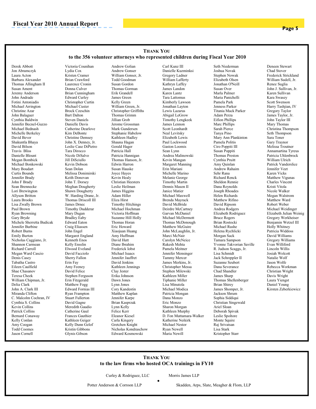#### **THANK YOU**

#### **to the 356 volunteer attorneys who represented children during Fiscal Year 2010**

Derek Abbott Jon Abramczyk Laura Acton Barbara Alexander Thomas Allingham II Susan Ament Jeremy Anderson John Andrade Fotini Antoniadis Michael Arrington Christine Azar John Balaguer Cynthia Baldwin Jennifer Becnel-Guzzo Michael Bednash Michelle Berkeley David Bever Shakuntla Bhaya David Bilson Travis Bliss Danielle Blount Megan Bombick Michael Bonkowski Mary Boudart Curtis Bounds Jennifer Brady John F Brady Sean Brennecke Lori Brewington Allyson Britton Laura Brooks Lisa Zwally Brown Paul Brown Ryan Browning Gary Bryde Michele Sherretta Budicak Jennifer Burbine Robert Burns Emily Burton Nicholas Caggiano, Jr. Shannon Carmean Richard Carroll Megan Ward Cascio Denis Casey Tabatha Castro Eileen Caulfield Shae Chasanov Teresa Cheek William Chipman, Jr. Delia Clark John A. Clark III Miranda Clifton C. Malcolm Cochran, IV Cynthia S. Collins Kevin Collins Patrick Collins Bernard Conaway Kelly Conlan Amy Coogan Todd Coomes Jason Cornell

Victoria Counihan Lydia Cox Kristen Cramer Brian Crawford Laurence Cronin Donna Culver Brian Cunningham Edward Curley Christopher Curtin Michael Custer Brock Czeschin Bart Dalton Steven Daniels Danielle Davis Catherine Dearlove Kim DeBonte Christine Demsey John X. Denney, Jr. Leslie Case DiPietro Tara Dirocco Nicole DiSalvo Jill DiSciullo Kevin Dobson Sean Dolan Melissa Donimirski Keith Donovan John T. Dorsey Meghan Dougherty Shawn Dougherty W. Harding Drane, Jr. Thomas Driscoll III James Drnec Timothy Dudderar Mary Dugan Bradley Eaby Edward Eaton Craig Eliassen John Engel Margaret England Kenneth Enos Kelly Ensslin Elwood Eveland David Facciolo Sherry Fallon Erin Fay Amy Feeney David Felice Stephen Ferguson Erin Fitzgerald Matthew Fogg Edward Fornias III Ryan Frampton Stuart Fullerton David Gagne Meredith Gaudio Catherine Gaul Frances Gauthier Kathleen Geiger Kelly Dunn Gelof Kristin Gibbons Glynis Gibson

Andrew Golian Andrew Gonser William Gonser, Jr. Todd Goodman Susan Gordon Thomas Gorman Erik Grandell James Green Kelly Green William Green, Jr. Christopher Griffiths Thomas Grimm Jillian Grob Jerome Grossman Mark Gundersen Stephanie Habelow Kathleen Hadley Shauna Hagan Gerald Hager Patricia Hall Patricia Hannigan Thomas Hanson, Jr. Edwin Harron Susan Hauske Joyce Hayes Kevin Healy Christian Heesters Leslie Heilman James Higgins Adam Hiller Eliza Hirst Timothy Hitchings Michael Hochman Victoria Hoffman Suzanne Hill Holly Thomas Horan Eric Howard Xiaojuan Huang Amy Huffman David Hutt Diane Ibrahim Frederick Iobst Michael Isaacs Jennifer Jauffret David Jenkins Kathleen Jennings Clay Jester Erika Johnson Dawn Jones Lynn Jones Cory Kandestin Matthew Kaplan Jennifer Karpe Brian Kasprzak Lynn Kelly Felice Kerr Eleanor Kiesel Carla Kingery Gretchen Knight Nicholas Kondraschow Edward Kosmowski

Carl Kunz III Danielle Kuzminksi Gregory Ladner William Lafferty Kathryn Laffey James Landon Karen Lantz Tara Lattomus Kimberly Lawson Jonathan Layton Lewis Lazarus Abigail LeGrow Timothy Lengkeek James Lennon Scott Leonhardt Neal Levitsky Elizabeth Lewis Paul Lockwood Gaston Loomis Sean Lynn Andrea Malinowski Kevin Mangan Margaret Manning Erin Mariani Michelle Marino Melanie George Timothy Martin Dennis Mason II Janice Matier Michael Maxwell Brenda Mayrack David McBride Deirdre McCartney Garvan McDaniel Michael McDermott Thomas McDonough Matthew McGuire John McLaughlin, Jr. Marci McNair Carolyn McNeice Rakesh Mehta Pamela Meitner Jennifer Mensinger Tammy Mercer James Merkins, Jr. Christopher Messa Stephen Milewski Kathleen Miller Tiphanie Miller Lisa Minutola Michael Modica Patricia Mongan Dana Monzo Eric Monzo Sharon Morgan Kathleen Murphy D. Fon Muttamara-Walker Katherine Neikirk Michael Nestor Ryan Newell Maria Newill

Seth Niederman Joshua Novak Stephen Nowak Elizabeth Olsen Jonathan O'Neill Susan Over Marla Palmer Maria Panichelli Pamela Park Jenness Parker Titania Mack Parker Adam Perza Eifion Phillips Marc Phillips Sarah Pierce Tanya Pino Mary Ann Plankinton Pamela Politis Ciro Poppiti III Susan Poppiti Thomas Preston Cynthia Pruitt Amy Quinlan Andrew Rahaim Sehr Rana Richard Renck Sheldon Rennie Dana Reynolds Joseph Rhoades Helen Richards Matthew Rifino David Ripsom Andrea Rodgers Elizabeth Rodriguez Bruce Rogers Brian Rostocki Michael Rushe Helena Rychlicki Morgan Sack Tamara Sampson Yvonne Takvorian Saville R. Judson Scaggs, Jr. Lisa Schmidt Jack Schreppler II Suzanne Seubert Dana Severance Chad Shandler James Sharp Thomas Shellenberger Brian Shirey James Shomper, Jr. Jackson Shrum Sophia Siddiqui Christian Singewald Ariel Sloan Deborah Spivak Leslie Spoltore Monte Squire Raj Srivatsan Lisa Stark Kristopher Starr

Deneen Stewart Chad Stover Frederick Strickland William Sudell, Jr. Renee Suglia John J. Sullivan, Jr. Karen Sullivan Kara Swasey Scott Swenson Harry Tashjian, IV Gregory Taylor James Taylor, Jr. John Taylor III Mary Thomas Christina Thompson Seth Thompson Sara Toner Gary Traynor Melissa Troutner Annamartina Tyreus Patricia Uhlenbrock William Ulrich Patrick Vanderslice Jennifer Veet Karen Vicks Matthew Vigunas Charles Vincent Kristi Vitola Nicole Walker Megan Walstrom Matthew Ward Robert Weber Michael Weidinger Elizabeth Julian Weinig Gregory Werkheiser Benjamin Wetzel III Holly Whitney Patricia Widdoss David Williams Gregory Williams Evan Williford Lincoln Willis Josiah Wolcott Natalie Wolf Jason Wolfe Rebecca Workman Christian Wright Davis Wright Laura Yiengst Daniel Young Kirsten Zeberkiewicz

#### **THANK YOU to the law firms who hosted OCA trainings in FY10**

 $\bullet$ 

Curley & Rodriguez, LLC

Morris James LLP

Potter Anderson & Corroon LLP

Skadden, Arps, Slate, Meagher & Flom, LLP